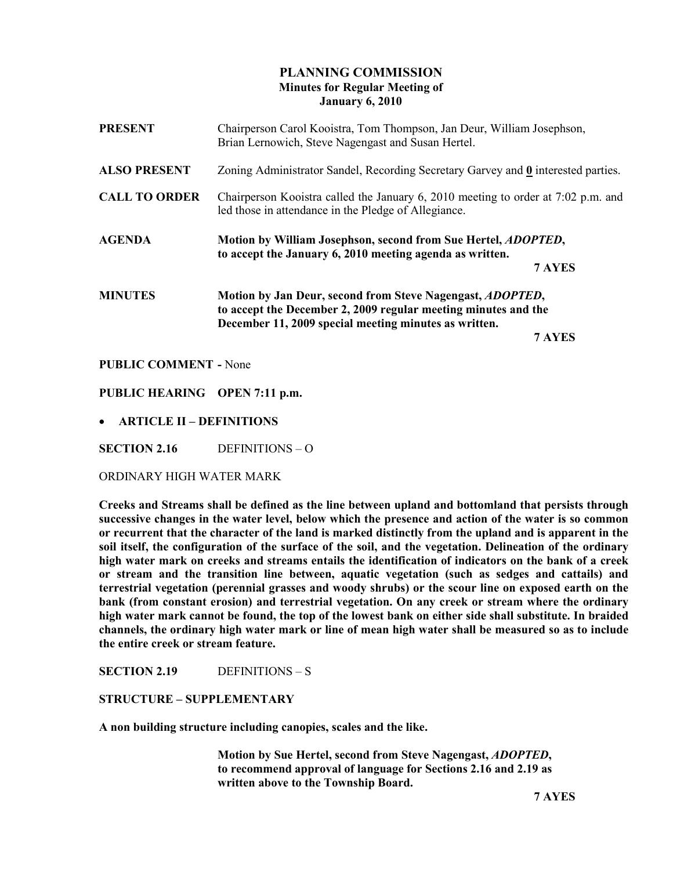# PLANNING COMMISSION Minutes for Regular Meeting of January 6, 2010

| <b>PRESENT</b>       | Chairperson Carol Kooistra, Tom Thompson, Jan Deur, William Josephson,<br>Brian Lernowich, Steve Nagengast and Susan Hertel.              |  |
|----------------------|-------------------------------------------------------------------------------------------------------------------------------------------|--|
| <b>ALSO PRESENT</b>  | Zoning Administrator Sandel, Recording Secretary Garvey and 0 interested parties.                                                         |  |
| <b>CALL TO ORDER</b> | Chairperson Kooistra called the January 6, 2010 meeting to order at 7:02 p.m. and<br>led those in attendance in the Pledge of Allegiance. |  |
| <b>AGENDA</b>        | Motion by William Josephson, second from Sue Hertel, <i>ADOPTED</i> ,<br>to accept the January 6, 2010 meeting agenda as written.         |  |
|                      | 7 AYES                                                                                                                                    |  |
| <b>MINUTES</b>       | Motion by Jan Deur, second from Steve Nagengast, ADOPTED,                                                                                 |  |
|                      | to accept the December 2, 2009 regular meeting minutes and the                                                                            |  |
|                      | December 11, 2009 special meeting minutes as written.<br>7 AYES                                                                           |  |
|                      |                                                                                                                                           |  |

PUBLIC COMMENT - None

PUBLIC HEARING OPEN 7:11 p.m.

• ARTICLE II – DEFINITIONS

SECTION 2.16 DEFINITIONS – O

ORDINARY HIGH WATER MARK

Creeks and Streams shall be defined as the line between upland and bottomland that persists through successive changes in the water level, below which the presence and action of the water is so common or recurrent that the character of the land is marked distinctly from the upland and is apparent in the soil itself, the configuration of the surface of the soil, and the vegetation. Delineation of the ordinary high water mark on creeks and streams entails the identification of indicators on the bank of a creek or stream and the transition line between, aquatic vegetation (such as sedges and cattails) and terrestrial vegetation (perennial grasses and woody shrubs) or the scour line on exposed earth on the bank (from constant erosion) and terrestrial vegetation. On any creek or stream where the ordinary high water mark cannot be found, the top of the lowest bank on either side shall substitute. In braided channels, the ordinary high water mark or line of mean high water shall be measured so as to include the entire creek or stream feature.

SECTION 2.19 DEFINITIONS - S

#### STRUCTURE – SUPPLEMENTARY

A non building structure including canopies, scales and the like.

 Motion by Sue Hertel, second from Steve Nagengast, ADOPTED, to recommend approval of language for Sections 2.16 and 2.19 as written above to the Township Board.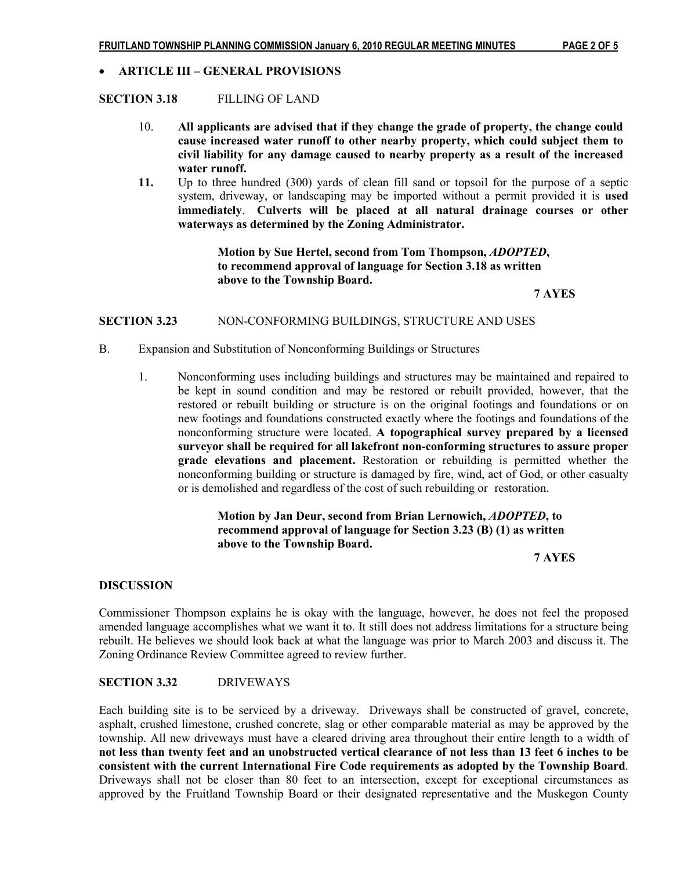### • ARTICLE III – GENERAL PROVISIONS

### SECTION 3.18 FILLING OF LAND

- 10. All applicants are advised that if they change the grade of property, the change could cause increased water runoff to other nearby property, which could subject them to civil liability for any damage caused to nearby property as a result of the increased water runoff.
- 11. Up to three hundred (300) yards of clean fill sand or topsoil for the purpose of a septic system, driveway, or landscaping may be imported without a permit provided it is used immediately. Culverts will be placed at all natural drainage courses or other waterways as determined by the Zoning Administrator.

 Motion by Sue Hertel, second from Tom Thompson, ADOPTED, to recommend approval of language for Section 3.18 as written above to the Township Board.

7 AYES

### SECTION 3.23 NON-CONFORMING BUILDINGS, STRUCTURE AND USES

- B. Expansion and Substitution of Nonconforming Buildings or Structures
	- 1. Nonconforming uses including buildings and structures may be maintained and repaired to be kept in sound condition and may be restored or rebuilt provided, however, that the restored or rebuilt building or structure is on the original footings and foundations or on new footings and foundations constructed exactly where the footings and foundations of the nonconforming structure were located. A topographical survey prepared by a licensed surveyor shall be required for all lakefront non-conforming structures to assure proper grade elevations and placement. Restoration or rebuilding is permitted whether the nonconforming building or structure is damaged by fire, wind, act of God, or other casualty or is demolished and regardless of the cost of such rebuilding or restoration.

# Motion by Jan Deur, second from Brian Lernowich, ADOPTED, to recommend approval of language for Section 3.23 (B) (1) as written above to the Township Board.

7 AYES

#### **DISCUSSION**

Commissioner Thompson explains he is okay with the language, however, he does not feel the proposed amended language accomplishes what we want it to. It still does not address limitations for a structure being rebuilt. He believes we should look back at what the language was prior to March 2003 and discuss it. The Zoning Ordinance Review Committee agreed to review further.

# SECTION 3.32 DRIVEWAYS

Each building site is to be serviced by a driveway. Driveways shall be constructed of gravel, concrete, asphalt, crushed limestone, crushed concrete, slag or other comparable material as may be approved by the township. All new driveways must have a cleared driving area throughout their entire length to a width of not less than twenty feet and an unobstructed vertical clearance of not less than 13 feet 6 inches to be consistent with the current International Fire Code requirements as adopted by the Township Board. Driveways shall not be closer than 80 feet to an intersection, except for exceptional circumstances as approved by the Fruitland Township Board or their designated representative and the Muskegon County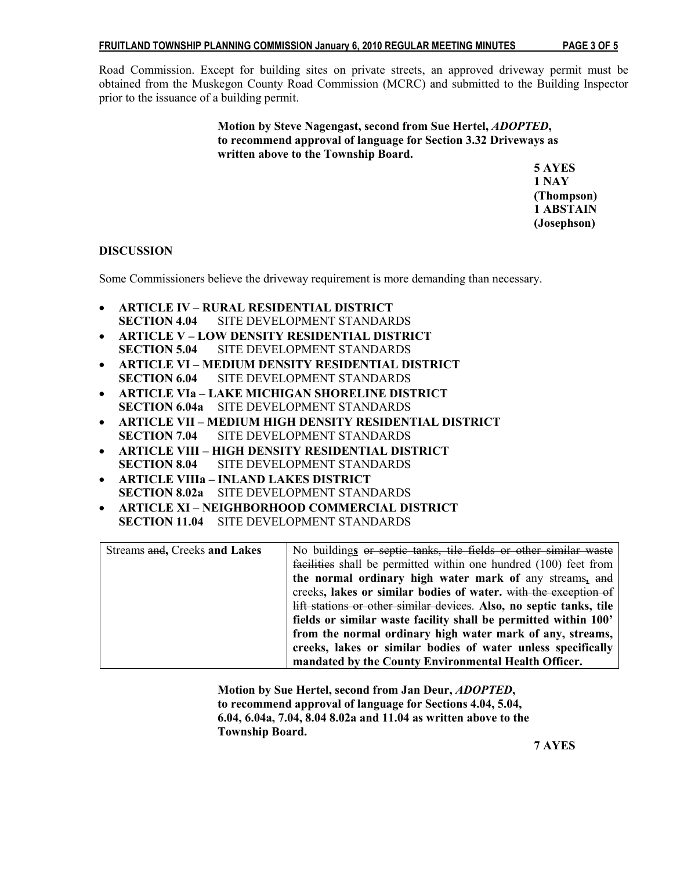Road Commission. Except for building sites on private streets, an approved driveway permit must be obtained from the Muskegon County Road Commission (MCRC) and submitted to the Building Inspector prior to the issuance of a building permit.

> Motion by Steve Nagengast, second from Sue Hertel, ADOPTED, to recommend approval of language for Section 3.32 Driveways as written above to the Township Board.

 5 AYES 1 NAY (Thompson) 1 ABSTAIN (Josephson)

# DISCUSSION

Some Commissioners believe the driveway requirement is more demanding than necessary.

- ARTICLE IV RURAL RESIDENTIAL DISTRICT SECTION 4.04 SITE DEVELOPMENT STANDARDS
- ARTICLE V LOW DENSITY RESIDENTIAL DISTRICT SECTION 5.04 SITE DEVELOPMENT STANDARDS
- ARTICLE VI MEDIUM DENSITY RESIDENTIAL DISTRICT SECTION 6.04 SITE DEVELOPMENT STANDARDS
- ARTICLE VIa LAKE MICHIGAN SHORELINE DISTRICT SECTION 6.04a SITE DEVELOPMENT STANDARDS
- ARTICLE VII MEDIUM HIGH DENSITY RESIDENTIAL DISTRICT SECTION 7.04 SITE DEVELOPMENT STANDARDS
- ARTICLE VIII HIGH DENSITY RESIDENTIAL DISTRICT SECTION 8.04 SITE DEVELOPMENT STANDARDS
- ARTICLE VIIIa INLAND LAKES DISTRICT SECTION 8.02a SITE DEVELOPMENT STANDARDS
- ARTICLE XI NEIGHBORHOOD COMMERCIAL DISTRICT SECTION 11.04 SITE DEVELOPMENT STANDARDS

| Streams and, Creeks and Lakes | No buildings or septic tanks, tile fields or other similar waste    |
|-------------------------------|---------------------------------------------------------------------|
|                               | facilities shall be permitted within one hundred (100) feet from    |
|                               | the normal ordinary high water mark of any streams, and             |
|                               | creeks, lakes or similar bodies of water. with the exception of     |
|                               | lift stations or other similar devices. Also, no septic tanks, tile |
|                               | fields or similar waste facility shall be permitted within 100'     |
|                               | from the normal ordinary high water mark of any, streams,           |
|                               | creeks, lakes or similar bodies of water unless specifically        |
|                               | mandated by the County Environmental Health Officer.                |

 Motion by Sue Hertel, second from Jan Deur, ADOPTED, to recommend approval of language for Sections 4.04, 5.04, 6.04, 6.04a, 7.04, 8.04 8.02a and 11.04 as written above to the Township Board.

7 AYES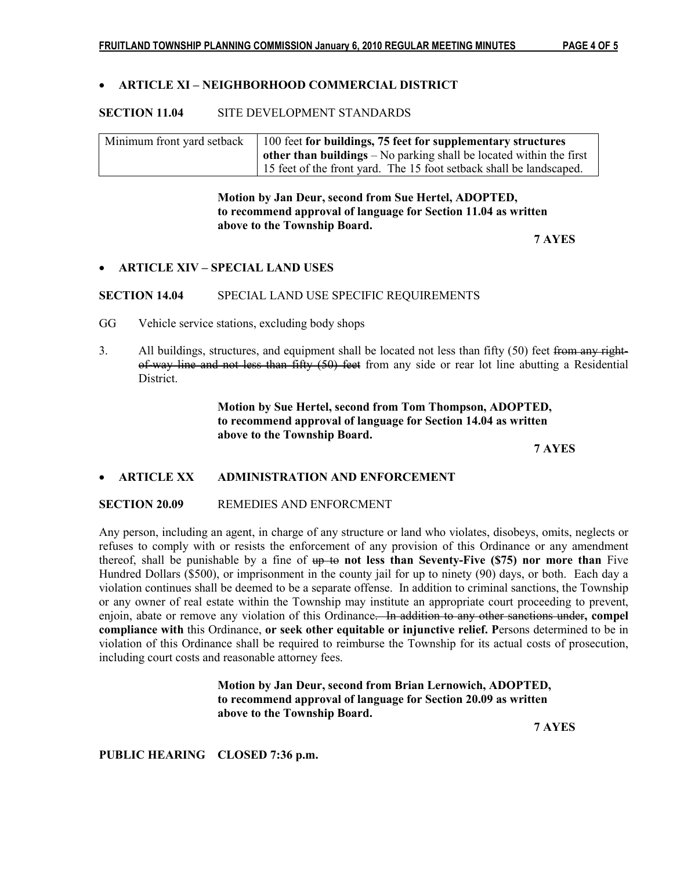# • ARTICLE XI – NEIGHBORHOOD COMMERCIAL DISTRICT

## SECTION 11.04 SITE DEVELOPMENT STANDARDS

| Minimum front yard setback | 100 feet for buildings, 75 feet for supplementary structures                 |
|----------------------------|------------------------------------------------------------------------------|
|                            | $\alpha$ other than buildings – No parking shall be located within the first |
|                            | 15 feet of the front yard. The 15 foot setback shall be landscaped.          |

 Motion by Jan Deur, second from Sue Hertel, ADOPTED, to recommend approval of language for Section 11.04 as written above to the Township Board.

7 AYES

## • ARTICLE XIV – SPECIAL LAND USES

SECTION 14.04 SPECIAL LAND USE SPECIFIC REQUIREMENTS

- GG Vehicle service stations, excluding body shops
- 3. All buildings, structures, and equipment shall be located not less than fifty (50) feet from any right of-way line and not less than fifty (50) feet from any side or rear lot line abutting a Residential **District**

 Motion by Sue Hertel, second from Tom Thompson, ADOPTED, to recommend approval of language for Section 14.04 as written above to the Township Board.

7 AYES

# • ARTICLE XX ADMINISTRATION AND ENFORCEMENT

#### SECTION 20.09 REMEDIES AND ENFORCMENT

Any person, including an agent, in charge of any structure or land who violates, disobeys, omits, neglects or refuses to comply with or resists the enforcement of any provision of this Ordinance or any amendment thereof, shall be punishable by a fine of  $up$  to not less than Seventy-Five (\$75) nor more than Five Hundred Dollars (\$500), or imprisonment in the county jail for up to ninety (90) days, or both. Each day a violation continues shall be deemed to be a separate offense. In addition to criminal sanctions, the Township or any owner of real estate within the Township may institute an appropriate court proceeding to prevent, enjoin, abate or remove any violation of this Ordinance. In addition to any other sanctions under, compel compliance with this Ordinance, or seek other equitable or injunctive relief. Persons determined to be in violation of this Ordinance shall be required to reimburse the Township for its actual costs of prosecution, including court costs and reasonable attorney fees.

> Motion by Jan Deur, second from Brian Lernowich, ADOPTED, to recommend approval of language for Section 20.09 as written above to the Township Board.

7 AYES

PUBLIC HEARING CLOSED 7:36 p.m.